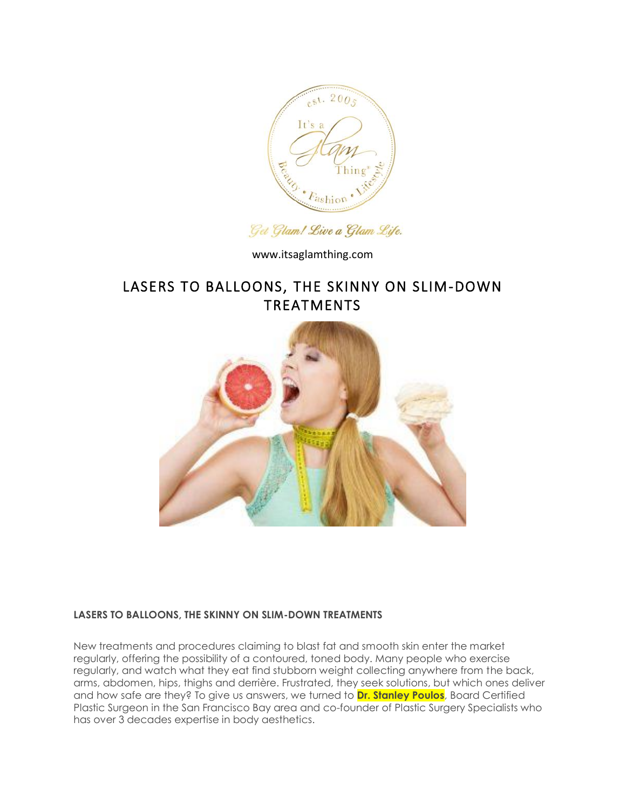

Get Glam! Live a Glam Life.

www.itsaglamthing.com

# LASERS TO BALLOONS, THE SKINNY ON SLIM-DOWN TREATMENTS



# **LASERS TO BALLOONS, THE SKINNY ON SLIM-DOWN TREATMENTS**

New treatments and procedures claiming to blast fat and smooth skin enter the market regularly, offering the possibility of a contoured, toned body. Many people who exercise regularly, and watch what they eat find stubborn weight collecting anywhere from the back, arms, abdomen, hips, thighs and derrière. Frustrated, they seek solutions, but which ones deliver and how safe are they? To give us answers, we turned to **Dr. Stanley Poulos**, Board Certified Plastic Surgeon in the San Francisco Bay area and co-founder of Plastic Surgery Specialists who has over 3 decades expertise in body aesthetics.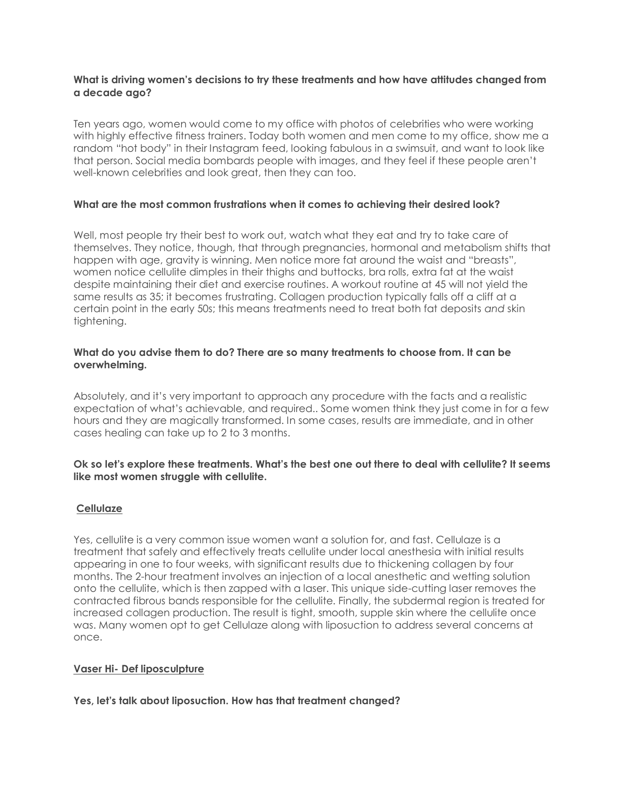#### **What is driving women's decisions to try these treatments and how have attitudes changed from a decade ago?**

Ten years ago, women would come to my office with photos of celebrities who were working with highly effective fitness trainers. Today both women and men come to my office, show me a random "hot body" in their Instagram feed, looking fabulous in a swimsuit, and want to look like that person. Social media bombards people with images, and they feel if these people aren't well-known celebrities and look great, then they can too.

#### **What are the most common frustrations when it comes to achieving their desired look?**

Well, most people try their best to work out, watch what they eat and try to take care of themselves. They notice, though, that through pregnancies, hormonal and metabolism shifts that happen with age, gravity is winning. Men notice more fat around the waist and "breasts", women notice cellulite dimples in their thighs and buttocks, bra rolls, extra fat at the waist despite maintaining their diet and exercise routines. A workout routine at 45 will not yield the same results as 35; it becomes frustrating. Collagen production typically falls off a cliff at a certain point in the early 50s; this means treatments need to treat both fat deposits *and* skin tightening.

## **What do you advise them to do? There are so many treatments to choose from. It can be overwhelming.**

Absolutely, and it's very important to approach any procedure with the facts and a realistic expectation of what's achievable, and required.. Some women think they just come in for a few hours and they are magically transformed. In some cases, results are immediate, and in other cases healing can take up to 2 to 3 months.

## **Ok so let's explore these treatments. What's the best one out there to deal with cellulite? It seems like most women struggle with cellulite.**

# **Cellulaze**

Yes, cellulite is a very common issue women want a solution for, and fast. Cellulaze is a treatment that safely and effectively treats cellulite under local anesthesia with initial results appearing in one to four weeks, with significant results due to thickening collagen by four months. The 2-hour treatment involves an injection of a local anesthetic and wetting solution onto the cellulite, which is then zapped with a laser. This unique side-cutting laser removes the contracted fibrous bands responsible for the cellulite. Finally, the subdermal region is treated for increased collagen production. The result is tight, smooth, supple skin where the cellulite once was. Many women opt to get Cellulaze along with liposuction to address several concerns at once.

#### **Vaser Hi- Def liposculpture**

**Yes, let's talk about liposuction. How has that treatment changed?**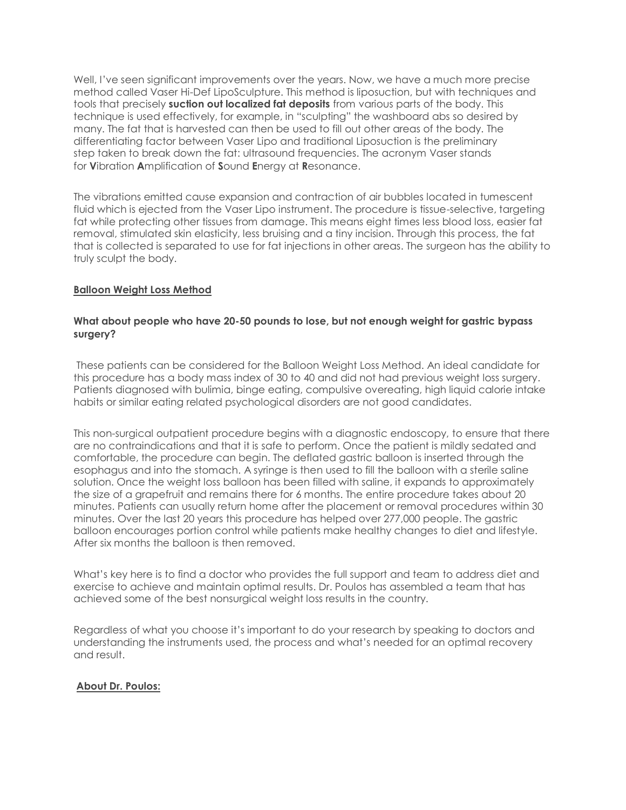Well, I've seen significant improvements over the years. Now, we have a much more precise method called Vaser Hi-Def LipoSculpture. This method is liposuction, but with techniques and tools that precisely **suction out localized fat deposits** from various parts of the body. This technique is used effectively, for example, in "sculpting" the washboard abs so desired by many. The fat that is harvested can then be used to fill out other areas of the body. The differentiating factor between Vaser Lipo and traditional Liposuction is the preliminary step taken to break down the fat: ultrasound frequencies. The acronym Vaser stands for **V**ibration **A**mplification of **S**ound **E**nergy at **R**esonance.

The vibrations emitted cause expansion and contraction of air bubbles located in tumescent fluid which is ejected from the Vaser Lipo instrument. The procedure is tissue-selective, targeting fat while protecting other tissues from damage. This means eight times less blood loss, easier fat removal, stimulated skin elasticity, less bruising and a tiny incision. Through this process, the fat that is collected is separated to use for fat injections in other areas. The surgeon has the ability to truly sculpt the body.

# **Balloon Weight Loss Method**

#### **What about people who have 20-50 pounds to lose, but not enough weight for gastric bypass surgery?**

These patients can be considered for the Balloon Weight Loss Method. An ideal candidate for this procedure has a body mass index of 30 to 40 and did not had previous weight loss surgery. Patients diagnosed with bulimia, binge eating, compulsive overeating, high liquid calorie intake habits or similar eating related psychological disorders are not good candidates.

This non-surgical outpatient procedure begins with a diagnostic endoscopy, to ensure that there are no contraindications and that it is safe to perform. Once the patient is mildly sedated and comfortable, the procedure can begin. The deflated gastric balloon is inserted through the esophagus and into the stomach. A syringe is then used to fill the balloon with a sterile saline solution. Once the weight loss balloon has been filled with saline, it expands to approximately the size of a grapefruit and remains there for 6 months. The entire procedure takes about 20 minutes. Patients can usually return home after the placement or removal procedures within 30 minutes. Over the last 20 years this procedure has helped over 277,000 people. The gastric balloon encourages portion control while patients make healthy changes to diet and lifestyle. After six months the balloon is then removed.

What's key here is to find a doctor who provides the full support and team to address diet and exercise to achieve and maintain optimal results. Dr. Poulos has assembled a team that has achieved some of the best nonsurgical weight loss results in the country.

Regardless of what you choose it's important to do your research by speaking to doctors and understanding the instruments used, the process and what's needed for an optimal recovery and result.

# **About Dr. Poulos:**